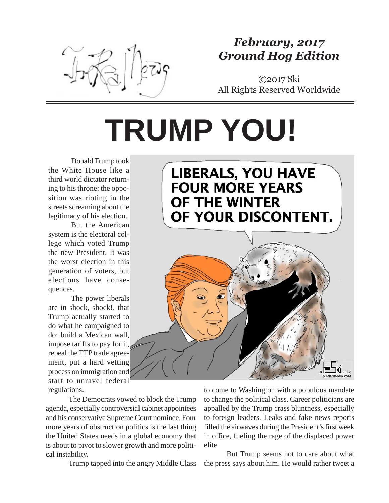

## *February, 2017 Ground Hog Edition*

©2017 Ski All Rights Reserved Worldwide

## **TRUMP YOU!**

Donald Trump took the White House like a third world dictator returning to his throne: the opposition was rioting in the streets screaming about the legitimacy of his election.

But the American system is the electoral college which voted Trump the new President. It was the worst election in this generation of voters, but elections have consequences.

The power liberals are in shock, shock!, that Trump actually started to do what he campaigned to do: build a Mexican wall, impose tariffs to pay for it, repeal the TTP trade agreement, put a hard vetting process on immigration and start to unravel federal regulations.

The Democrats vowed to block the Trump agenda, especially controversial cabinet appointees and his conservative Supreme Court nominee. Four more years of obstruction politics is the last thing the United States needs in a global economy that is about to pivot to slower growth and more political instability.

Trump tapped into the angry Middle Class

**LIBERALS, YOU HAVE FOUR MORE YEARS** OF THE WINTER OF YOUR DISCONTENT.



to come to Washington with a populous mandate to change the political class. Career politicians are appalled by the Trump crass bluntness, especially to foreign leaders. Leaks and fake news reports filled the airwaves during the President's first week in office, fueling the rage of the displaced power elite.

But Trump seems not to care about what the press says about him. He would rather tweet a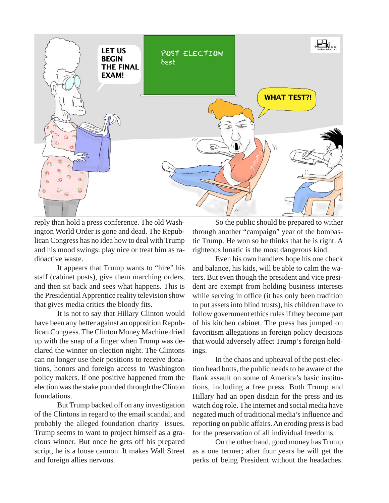

reply than hold a press conference. The old Washington World Order is gone and dead. The Republican Congress has no idea how to deal with Trump and his mood swings: play nice or treat him as radioactive waste.

It appears that Trump wants to "hire" his staff (cabinet posts), give them marching orders, and then sit back and sees what happens. This is the Presidential Apprentice reality television show that gives media critics the bloody fits.

It is not to say that Hillary Clinton would have been any better against an opposition Republican Congress. The Clinton Money Machine dried up with the snap of a finger when Trump was declared the winner on election night. The Clintons can no longer use their positions to receive donations, honors and foreign access to Washington policy makers. If one positive happened from the election was the stake pounded through the Clinton foundations.

But Trump backed off on any investigation of the Clintons in regard to the email scandal, and probably the alleged foundation charity issues. Trump seems to want to project himself as a gracious winner. But once he gets off his prepared script, he is a loose cannon. It makes Wall Street and foreign allies nervous.

So the public should be prepared to wither through another "campaign" year of the bombastic Trump. He won so he thinks that he is right. A righteous lunatic is the most dangerous kind.

Even his own handlers hope his one check and balance, his kids, will be able to calm the waters. But even though the president and vice president are exempt from holding business interests while serving in office (it has only been tradition to put assets into blind trusts), his children have to follow government ethics rules if they become part of his kitchen cabinet. The press has jumped on favoritism allegations in foreign policy decisions that would adversely affect Trump's foreign holdings.

In the chaos and upheaval of the post-election head butts, the public needs to be aware of the flank assault on some of America's basic institutions, including a free press. Both Trump and Hillary had an open disdain for the press and its watch dog role. The internet and social media have negated much of traditional media's influence and reporting on public affairs. An eroding press is bad for the preservation of all individual freedoms.

On the other hand, good money has Trump as a one termer; after four years he will get the perks of being President without the headaches.